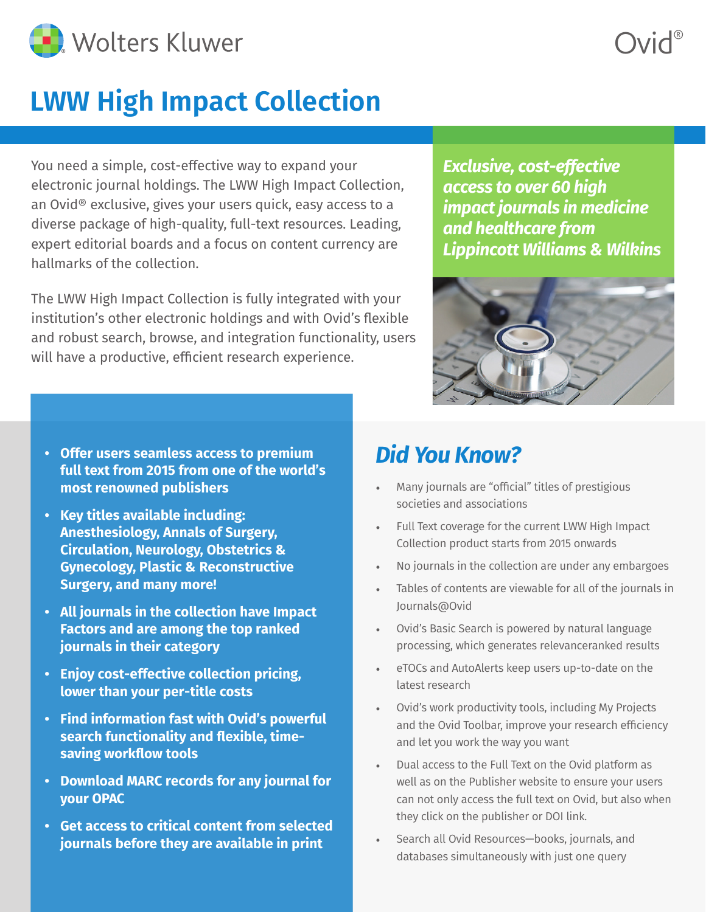

# **LWW High Impact Collection**

You need a simple, cost-effective way to expand your electronic journal holdings. The LWW High Impact Collection, an Ovid® exclusive, gives your users quick, easy access to a diverse package of high-quality, full-text resources. Leading, expert editorial boards and a focus on content currency are hallmarks of the collection.

The LWW High Impact Collection is fully integrated with your institution's other electronic holdings and with Ovid's flexible and robust search, browse, and integration functionality, users will have a productive, efficient research experience.

*Exclusive, cost-effective access to over 60 high impact journals in medicine and healthcare from Lippincott Williams & Wilkins*



- **• Offer users seamless access to premium full text from 2015 from one of the world's most renowned publishers**
- **• Key titles available including: Anesthesiology, Annals of Surgery, Circulation, Neurology, Obstetrics & Gynecology, Plastic & Reconstructive Surgery, and many more!**
- **• All journals in the collection have Impact Factors and are among the top ranked journals in their category**
- **• Enjoy cost-effective collection pricing, lower than your per-title costs**
- **• Find information fast with Ovid's powerful search functionality and flexible, timesaving workflow tools**
- **• Download MARC records for any journal for your OPAC**
- **• Get access to critical content from selected journals before they are available in print**

## *Did You Know?*

- Many journals are "official" titles of prestigious societies and associations
- Full Text coverage for the current LWW High Impact Collection product starts from 2015 onwards
- No journals in the collection are under any embargoes
- Tables of contents are viewable for all of the journals in Journals@Ovid
- Ovid's Basic Search is powered by natural language processing, which generates relevanceranked results
- eTOCs and AutoAlerts keep users up-to-date on the latest research
- Ovid's work productivity tools, including My Projects and the Ovid Toolbar, improve your research efficiency and let you work the way you want
- Dual access to the Full Text on the Ovid platform as well as on the Publisher website to ensure your users can not only access the full text on Ovid, but also when they click on the publisher or DOI link.
- Search all Ovid Resources—books, journals, and databases simultaneously with just one query